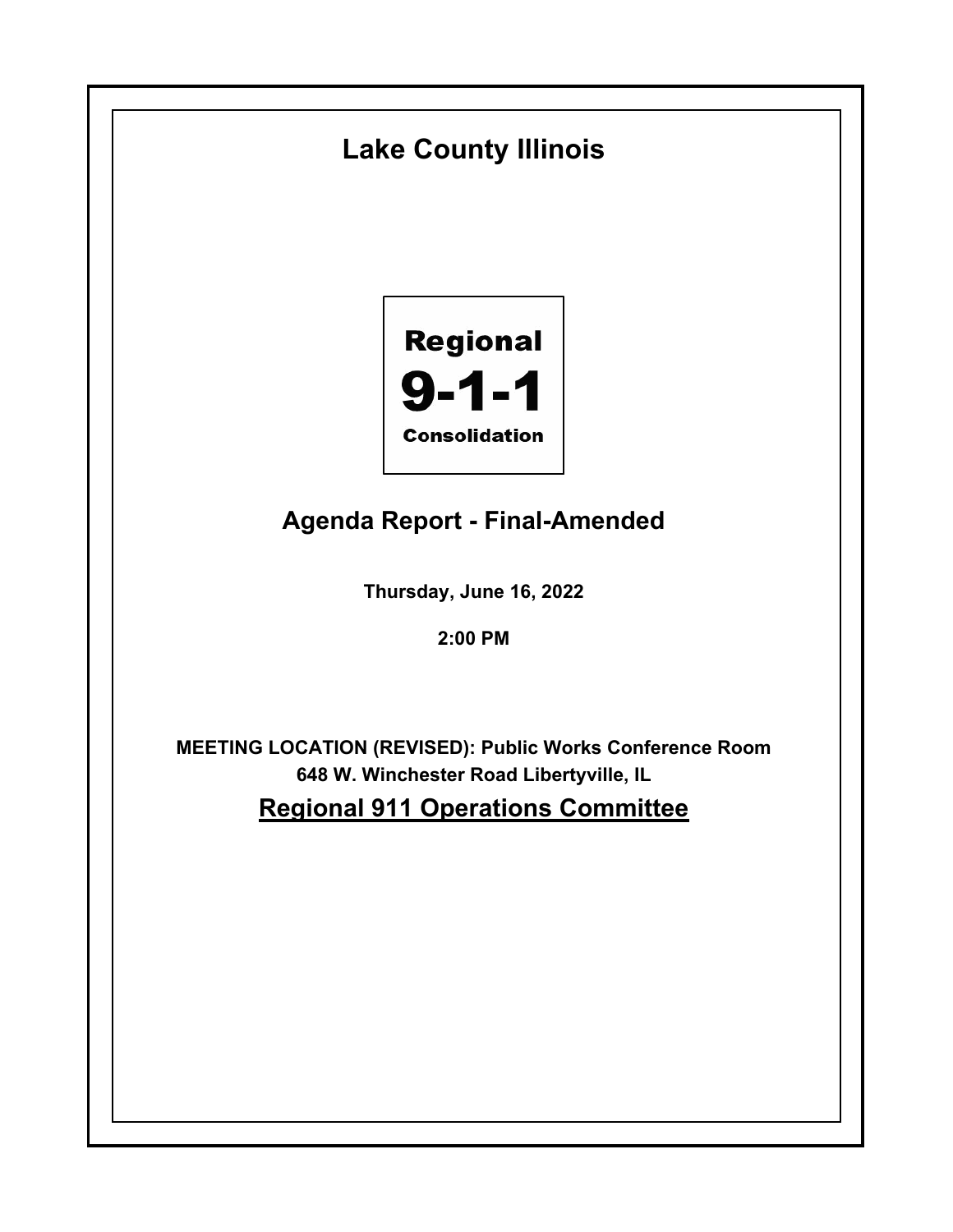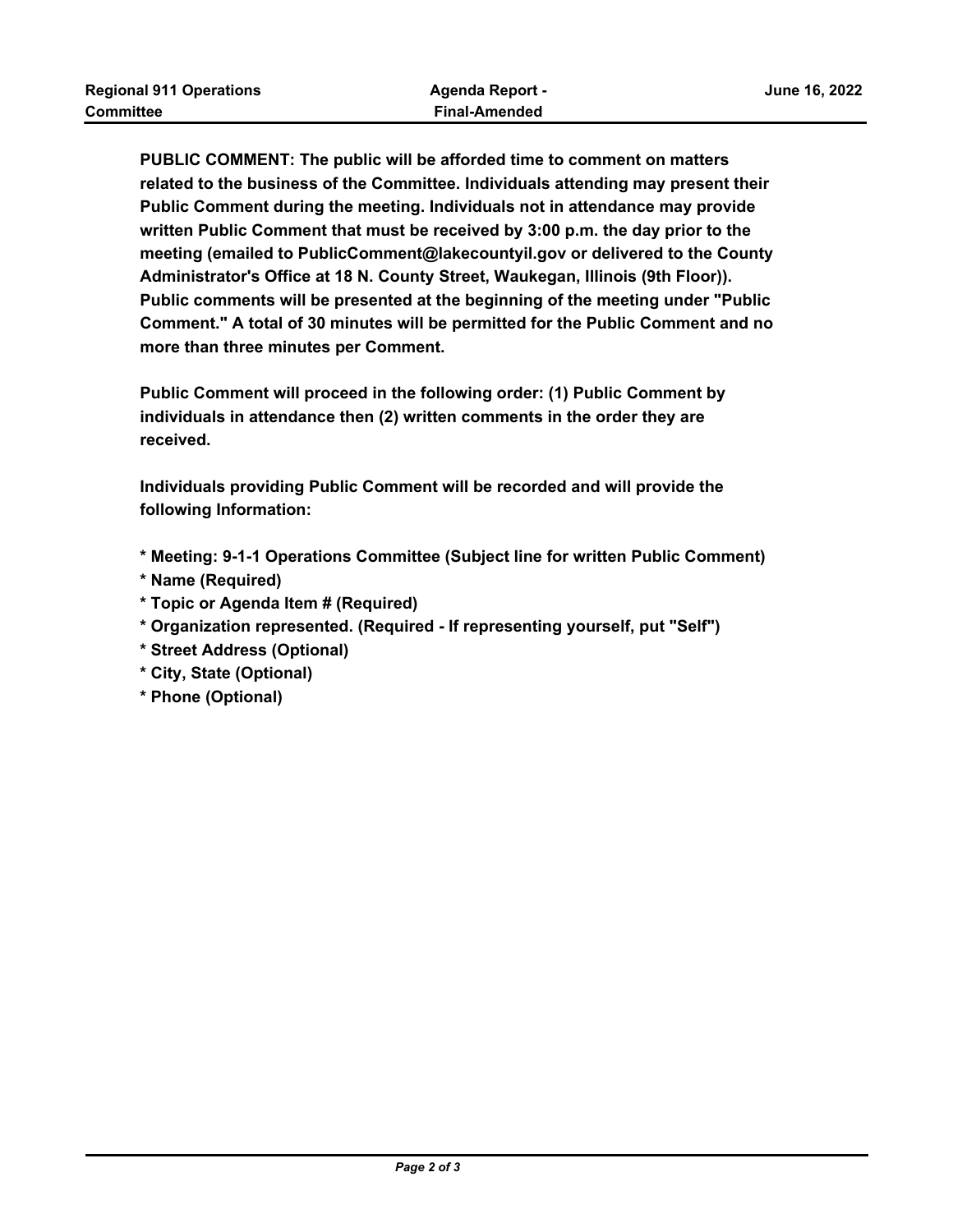**PUBLIC COMMENT: The public will be afforded time to comment on matters related to the business of the Committee. Individuals attending may present their Public Comment during the meeting. Individuals not in attendance may provide written Public Comment that must be received by 3:00 p.m. the day prior to the meeting (emailed to PublicComment@lakecountyil.gov or delivered to the County Administrator's Office at 18 N. County Street, Waukegan, Illinois (9th Floor)). Public comments will be presented at the beginning of the meeting under "Public Comment." A total of 30 minutes will be permitted for the Public Comment and no more than three minutes per Comment.**

**Public Comment will proceed in the following order: (1) Public Comment by individuals in attendance then (2) written comments in the order they are received.**

**Individuals providing Public Comment will be recorded and will provide the following Information:**

- **\* Meeting: 9-1-1 Operations Committee (Subject line for written Public Comment)**
- **\* Name (Required)**
- **\* Topic or Agenda Item # (Required)**
- **\* Organization represented. (Required If representing yourself, put "Self")**
- **\* Street Address (Optional)**
- **\* City, State (Optional)**
- **\* Phone (Optional)**